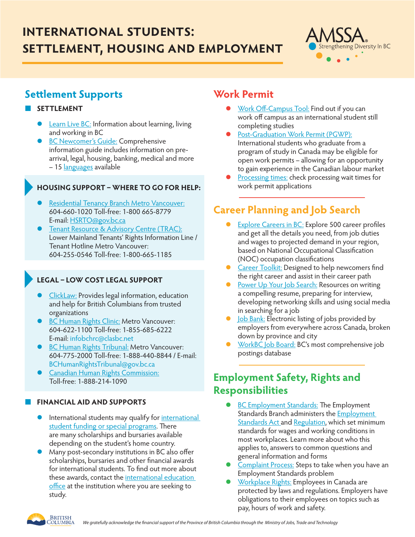# **international students: settlement, housing and employment**



### **Settlement Supports**

#### ¢ **SETTLEMENT**

- [Learn Live BC:](https://www.learnlivebc.ca/) Information about learning, living and working in BC
- **[BC Newcomer's Guide:](https://www.welcomebc.ca/getmedia/74e159ee-883f-438f-b00a-27fa577ff63c/BC-Newcomers-Guide-English.aspx) Comprehensive** information guide includes information on prearrival, legal, housing, banking, medical and more – 15 [languages](https://www.welcomebc.ca/Resources-For/In-Your-Language) available

#### ¢ **HOUSING SUPPORT – WHERE TO GO FOR HELP:**

- [Residential Tenancy Branch Metro Vancouver](http://www.gov.bc.ca/landlordtenant): 604-660-1020 Toll-free: 1-800 665-8779 E-mail: [HSRTO@gov.bc.ca](mailto:HSRTO@gov.bc.ca)
- **[Tenant Resource & Advisory Centre \(TRAC\):](http://www.tenants.bc.ca/)** Lower Mainland Tenants' Rights Information Line / Tenant Hotline Metro Vancouver: 604-255-0546 Toll-free: 1-800-665-1185

### **LEGAL – LOW COST LEGAL SUPPORT**

- [ClickLaw](https://www.clicklaw.bc.ca/): Provides legal information, education and help for British Columbians from trusted organizations
- **[BC Human Rights Clinic](http://www.bchrc.net/): Metro Vancouver:** 604-622-1100 Toll-free: 1-855-685-6222 E-mail: infobchrc@clasbc.net
- **[BC Human Rights Tribunal:](http://www.bchrt.bc.ca/) Metro Vancouver:** 604-775-2000 Toll-free: 1-888-440-8844 / E-mail: BCHumanRightsTribunal@gov.bc.ca
- **[Canadian Human Rights Commission:](http://www.chrc-ccdp.ca/)** Toll-free: 1-888-214-1090

#### ¢ **FINANCIAL AID AND SUPPORTS**

- International students may qualify for international **[student funding or special programs.](https://www.learnlivebc.ca/learn/scholarships#scholarships) There BC ID Guidelines for the BC Mark** are many scholarships and bursaries available depending on the student's home country.
- **•** Many post-secondary institutions in BC also offer scholarships, bursaries and other financial awards for international students. To find out more about these awards, contact the [international education](https://www.learnlivebc.ca/about/contacts)  [office](https://www.learnlivebc.ca/about/contacts) at the institution where you are seeking to study. *Note the dark blue text and mountains*

### **Work Permit**

- [Work Off-Campus Tool](http://www.cic.gc.ca/english/study/study-assess.asp): Find out if you can work off campus as an international student still completing studies
- [Post-Graduation Work Permit \(PGWP\):](https://www.canada.ca/en/immigration-refugees-citizenship/corporate/publications-manuals/operational-bulletins-manuals/temporary-residents/study-permits/post-graduation-work-permit-program.html) International students who graduate from a program of study in Canada may be eligible for open work permits – allowing for an opportunity to gain experience in the Canadian labour market
- [Processing times](https://www.canada.ca/en/immigration-refugees-citizenship/services/application/check-processing-times.html): check processing wait times for work permit applications

## **Career Planning and Job Search**

- **[Explore Careers in BC](https://www.workbc.ca/Jobs-Careers/Explore-Careers.aspx): Explore 500 career profiles** and get all the details you need, from job duties and wages to projected demand in your region, based on National Occupational Classification (NOC) occupation classifications
- **[Career Toolkit](https://www.workbc.ca/Jobs-Careers/Career-Toolkit.aspx):** Designed to help newcomers find the right career and assist in their career path
- [Power Up Your Job Search](https://www.workbc.ca/Jobs-Careers/Find-Jobs/Power-up-your-job-search.aspx): Resources on writing a compelling resume, preparing for interview, developing networking skills and using social media in searching for a job
- **o** [Job Bank](https://www.jobbank.gc.ca/browsejobs/province/BC): Electronic listing of jobs provided by employers from everywhere across Canada, broken down by province and city
- **[WorkBC Job Board:](https://www.workbc.ca/Jobs-Careers/Find-Jobs.aspx) BC's most comprehensive job** postings database

### **Employment Safety, Rights and Responsibilities**

- **[BC Employment Standards](https://www2.gov.bc.ca/gov/content/employment-business/employment-standards-advice/employment-standards): The Employment** Standards Branch administers the [Employment](http://www.bclaws.ca/EPLibraries/bclaws_new/document/ID/freeside/00_96113_01)  [Standards Act](http://www.bclaws.ca/EPLibraries/bclaws_new/document/ID/freeside/00_96113_01) and [Regulation](http://www.bclaws.ca/EPLibraries/bclaws_new/document/ID/freeside/396_95), which set minimum standards for wages and working conditions in most workplaces. Learn more about who this applies to, answers to common questions and general information and forms
- [Complaint Process:](https://www2.gov.bc.ca/gov/content/employment-business/employment-standards-advice/employment-standards/complaint-process) Steps to take when you have an Employment Standards problem
- [Workplace Rights:](https://www.workbc.ca/Employer-Resources/Your-Workforce/Workplace-Rights.aspx) Employees in Canada are protected by laws and regulations. Employers have obligations to their employees on topics such as pay, hours of work and safety. *Maintain*